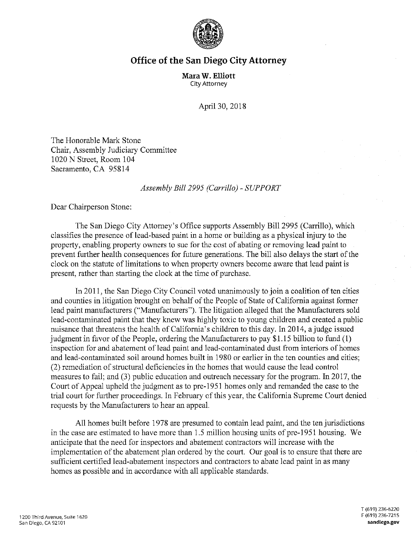

## **Office of the San Diego City Attorney**

**Mara W. Elliott**  City Attorney

April 30, 2018

The Honorable Mark Stone Chair, Assembly Judiciary Committee 1020 N Street, Room 104 Sacramento, CA 95814

## *Assembly Bill 2995 (Carrillo)* - *SUPPORT*

Dear Chairperson Stone:

The San Diego City Attorney's Office supports Assembly Bill 2995 (Carrillo), which classifies the presence of lead-based paint in a home or building as a physical injury to the property, enabling property owners to sue for the cost of abating or removing lead paint to prevent further health consequences for future generations. The bill also delays the start of the clock on the statute of limitations to when property owners become aware that lead paint is present, rather than starting the clock at the time of purchase.

In 2011, the San Diego City Council voted unanimously to join a coalition of ten cities and counties in litigation brought on behalf of the People of State of California against former lead paint manufacturers ("Manufacturers"). The litigation alleged that the Manufacturers sold lead-contaminated paint that they knew was highly toxic to young children and created a public nuisance that threatens the health of California's children to this day. In 2014, a judge issued judgment in favor of the People, ordering the Manufacturers to pay \$1.15 billion to fund (1) inspection for and abatement of lead paint and lead-contaminated dust from interiors of homes and lead-contaminated soil around homes built in 1980 or earlier in the ten counties and cities; (2) remediation of structural deficiencies in the homes that would cause the lead control measures to fail; and (3) public education and outreach necessary for the program. In 2017, the Court of Appeal upheld the judgment as to pre-1951 homes only and remanded the case to the trial court for further proceedings. In February of this year, the California Supreme Court denied requests by the Manufacturers to hear an appeal.

All homes built before 1978 are presumed to contain lead paint, and the ten jurisdictions in the case are estimated to have more than 1.5 million housing units of pre-1951 housing. We anticipate that the need for inspectors and abatement contractors will increase with the implementation of the abatement plan ordered by the court. Our goal is to ensure that there are sufficient certified lead-abatement inspectors and contractors to abate lead paint in as many homes as possible and in accordance with all applicable standards.

**T** (619) 236-6220 **F (619)** 236-7215 **sandiego.gov**